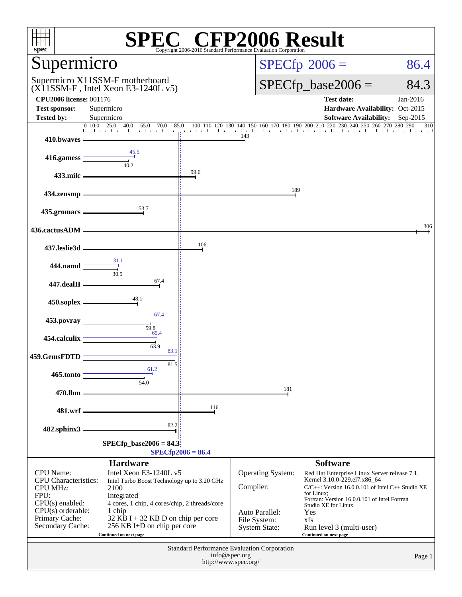| <b>CFP2006 Result</b><br>$spec^*$<br>Copyright 2006-2016 Standard Performance Evaluation Corporation |                                                                                                                                                          |                    |                                                        |                                                                                                                                                                                                     |                |  |  |
|------------------------------------------------------------------------------------------------------|----------------------------------------------------------------------------------------------------------------------------------------------------------|--------------------|--------------------------------------------------------|-----------------------------------------------------------------------------------------------------------------------------------------------------------------------------------------------------|----------------|--|--|
| Supermicro                                                                                           |                                                                                                                                                          |                    | $SPECfp^{\circledast}2006 =$<br>86.4                   |                                                                                                                                                                                                     |                |  |  |
|                                                                                                      | Supermicro X11SSM-F motherboard<br>(X11SSM-F, Intel Xeon E3-1240L v5)                                                                                    |                    |                                                        | $SPECfp\_base2006 =$<br>84.3                                                                                                                                                                        |                |  |  |
| <b>CPU2006 license: 001176</b><br><b>Test sponsor:</b>                                               | Supermicro                                                                                                                                               |                    |                                                        | <b>Test date:</b><br>Hardware Availability: Oct-2015                                                                                                                                                | Jan-2016       |  |  |
| <b>Tested by:</b>                                                                                    | Supermicro                                                                                                                                               |                    |                                                        | <b>Software Availability:</b>                                                                                                                                                                       | Sep-2015       |  |  |
| 410.bwaves                                                                                           | 0 10.0<br>25.0<br>40.0<br>55.0<br>70.0<br>85.0                                                                                                           | 100<br>110 120 130 | 140 150 160 170 180 190 200 210 220<br>143             | 240<br>250 260 270<br>230                                                                                                                                                                           | 280 290<br>310 |  |  |
| 416.gamess                                                                                           | 45.5<br>$\frac{1}{40.2}$                                                                                                                                 |                    |                                                        |                                                                                                                                                                                                     |                |  |  |
| 433.milc                                                                                             |                                                                                                                                                          | 99.6               |                                                        |                                                                                                                                                                                                     |                |  |  |
| 434.zeusmp                                                                                           |                                                                                                                                                          |                    | 189                                                    |                                                                                                                                                                                                     |                |  |  |
| 435.gromacs                                                                                          | 53.7                                                                                                                                                     |                    |                                                        |                                                                                                                                                                                                     |                |  |  |
| 436.cactusADM                                                                                        |                                                                                                                                                          |                    |                                                        |                                                                                                                                                                                                     | 306            |  |  |
| 437.leslie3d                                                                                         |                                                                                                                                                          | 106                |                                                        |                                                                                                                                                                                                     |                |  |  |
| 444.namd                                                                                             | 31.1<br>30.5                                                                                                                                             |                    |                                                        |                                                                                                                                                                                                     |                |  |  |
| 447.dealII                                                                                           | 67.4                                                                                                                                                     |                    |                                                        |                                                                                                                                                                                                     |                |  |  |
| 450.soplex                                                                                           | 48.1                                                                                                                                                     |                    |                                                        |                                                                                                                                                                                                     |                |  |  |
| 453.povray                                                                                           | 67.4<br>59.8                                                                                                                                             |                    |                                                        |                                                                                                                                                                                                     |                |  |  |
| 454.calculix                                                                                         | 65.4<br>63.9                                                                                                                                             |                    |                                                        |                                                                                                                                                                                                     |                |  |  |
| 459.GemsFDTD                                                                                         | 83.<br>81.5                                                                                                                                              |                    |                                                        |                                                                                                                                                                                                     |                |  |  |
| 465.tonto                                                                                            | 61.2<br>54.0                                                                                                                                             |                    |                                                        |                                                                                                                                                                                                     |                |  |  |
| 470.lbm                                                                                              |                                                                                                                                                          |                    | 181                                                    |                                                                                                                                                                                                     |                |  |  |
| 481.wrf                                                                                              |                                                                                                                                                          | 116                |                                                        |                                                                                                                                                                                                     |                |  |  |
| 482.sphinx3                                                                                          | 82.2                                                                                                                                                     |                    |                                                        |                                                                                                                                                                                                     |                |  |  |
| $SPECfp\_base2006 = 84.3$<br>$SPECfp2006 = 86.4$                                                     |                                                                                                                                                          |                    |                                                        |                                                                                                                                                                                                     |                |  |  |
|                                                                                                      | <b>Hardware</b>                                                                                                                                          |                    |                                                        | <b>Software</b>                                                                                                                                                                                     |                |  |  |
| CPU Name:<br><b>CPU</b> Characteristics:<br><b>CPU MHz:</b><br>FPU:                                  | Intel Xeon E3-1240L v5<br>Intel Turbo Boost Technology up to 3.20 GHz<br>2100<br>Integrated                                                              |                    | Operating System:<br>Compiler:                         | Red Hat Enterprise Linux Server release 7.1,<br>Kernel 3.10.0-229.el7.x86_64<br>$C/C++$ : Version 16.0.0.101 of Intel $C++$ Studio XE<br>for Linux:<br>Fortran: Version 16.0.0.101 of Intel Fortran |                |  |  |
| $CPU(s)$ enabled:<br>$CPU(s)$ orderable:<br>Primary Cache:<br>Secondary Cache:                       | 4 cores, 1 chip, 4 cores/chip, 2 threads/core<br>1 chip<br>$32$ KB I + 32 KB D on chip per core<br>256 KB I+D on chip per core<br>Continued on next page |                    | Auto Parallel:<br>File System:<br><b>System State:</b> | Studio XE for Linux<br>Yes<br>xfs<br>Run level 3 (multi-user)<br>Continued on next page                                                                                                             |                |  |  |
|                                                                                                      | Standard Performance Evaluation Corporation                                                                                                              |                    | Page 1                                                 |                                                                                                                                                                                                     |                |  |  |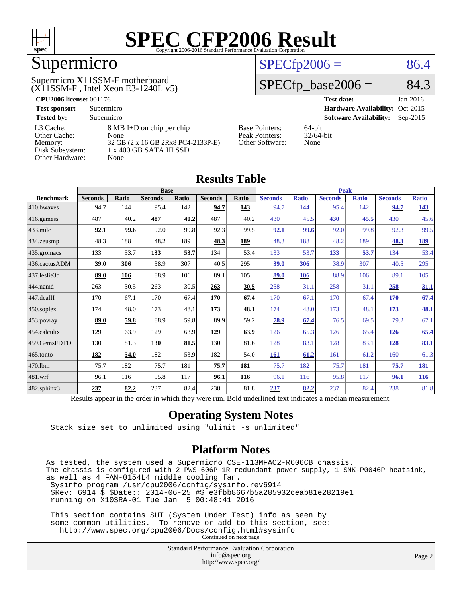

### Supermicro

#### $SPECfp2006 = 86.4$  $SPECfp2006 = 86.4$

#### (X11SSM-F , Intel Xeon E3-1240L v5) Supermicro X11SSM-F motherboard

#### $SPECfp\_base2006 = 84.3$

| <b>CPU2006 license: 001176</b> |                                    | $Jan-2016$<br><b>Test date:</b> |                                             |  |  |
|--------------------------------|------------------------------------|---------------------------------|---------------------------------------------|--|--|
| <b>Test sponsor:</b>           | Supermicro                         |                                 | Hardware Availability: Oct-2015             |  |  |
| <b>Tested by:</b>              | Supermicro                         |                                 | <b>Software Availability:</b><br>$Sep-2015$ |  |  |
| L3 Cache:                      | 8 MB I+D on chip per chip          | <b>Base Pointers:</b>           | $64$ -bit                                   |  |  |
| Other Cache:                   | None                               | Peak Pointers:                  | $32/64$ -bit                                |  |  |
| Memory:                        | 32 GB (2 x 16 GB 2Rx8 PC4-2133P-E) | Other Software:                 | None                                        |  |  |
| Disk Subsystem:                | 1 x 400 GB SATA III SSD            |                                 |                                             |  |  |
| Other Hardware:                | None                               |                                 |                                             |  |  |

**[Results Table](http://www.spec.org/auto/cpu2006/Docs/result-fields.html#ResultsTable)**

| Results Table                                                                                            |                |              |                |       |                |       |                |              |                |              |                |              |
|----------------------------------------------------------------------------------------------------------|----------------|--------------|----------------|-------|----------------|-------|----------------|--------------|----------------|--------------|----------------|--------------|
|                                                                                                          | <b>Base</b>    |              |                |       |                |       | <b>Peak</b>    |              |                |              |                |              |
| <b>Benchmark</b>                                                                                         | <b>Seconds</b> | <b>Ratio</b> | <b>Seconds</b> | Ratio | <b>Seconds</b> | Ratio | <b>Seconds</b> | <b>Ratio</b> | <b>Seconds</b> | <b>Ratio</b> | <b>Seconds</b> | <b>Ratio</b> |
| 410.bwayes                                                                                               | 94.7           | 144          | 95.4           | 142   | 94.7           | 143   | 94.7           | 144          | 95.4           | 142          | 94.7           | <u>143</u>   |
| 416.gamess                                                                                               | 487            | 40.2         | 487            | 40.2  | 487            | 40.2  | 430            | 45.5         | 430            | 45.5         | 430            | 45.6         |
| $433$ .milc                                                                                              | 92.1           | 99.6         | 92.0           | 99.8  | 92.3           | 99.5  | 92.1           | 99.6         | 92.0           | 99.8         | 92.3           | 99.5         |
| 434.zeusmp                                                                                               | 48.3           | 188          | 48.2           | 189   | 48.3           | 189   | 48.3           | 188          | 48.2           | 189          | 48.3           | 189          |
| 435.gromacs                                                                                              | 133            | 53.7         | 133            | 53.7  | 134            | 53.4  | 133            | 53.7         | 133            | 53.7         | 134            | 53.4         |
| 436.cactusADM                                                                                            | 39.0           | 306          | 38.9           | 307   | 40.5           | 295   | 39.0           | 306          | 38.9           | 307          | 40.5           | 295          |
| 437.leslie3d                                                                                             | 89.0           | 106          | 88.9           | 106   | 89.1           | 105   | 89.0           | 106          | 88.9           | 106          | 89.1           | 105          |
| 444.namd                                                                                                 | 263            | 30.5         | 263            | 30.5  | 263            | 30.5  | 258            | 31.1         | 258            | 31.1         | 258            | 31.1         |
| $447$ .dealII                                                                                            | 170            | 67.1         | 170            | 67.4  | 170            | 67.4  | 170            | 67.1         | 170            | 67.4         | 170            | 67.4         |
| $450$ .soplex                                                                                            | 174            | 48.0         | 173            | 48.1  | 173            | 48.1  | 174            | 48.0         | 173            | 48.1         | 173            | <b>48.1</b>  |
| 453.povray                                                                                               | 89.0           | 59.8         | 88.9           | 59.8  | 89.9           | 59.2  | 78.9           | 67.4         | 76.5           | 69.5         | 79.2           | 67.1         |
| 454.calculix                                                                                             | 129            | 63.9         | 129            | 63.9  | 129            | 63.9  | 126            | 65.3         | 126            | 65.4         | <u>126</u>     | 65.4         |
| 459.GemsFDTD                                                                                             | 130            | 81.3         | 130            | 81.5  | 130            | 81.6  | 128            | 83.1         | 128            | 83.1         | <u>128</u>     | 83.1         |
| $465$ .tonto                                                                                             | 182            | 54.0         | 182            | 53.9  | 182            | 54.0  | 161            | 61.2         | 161            | 61.2         | 160            | 61.3         |
| 470.1bm                                                                                                  | 75.7           | 182          | 75.7           | 181   | 75.7           | 181   | 75.7           | 182          | 75.7           | 181          | 75.7           | 181          |
| 481.wrf                                                                                                  | 96.1           | 116          | 95.8           | 117   | 96.1           | 116   | 96.1           | 116          | 95.8           | 117          | 96.1           | <b>116</b>   |
| 482.sphinx3                                                                                              | 237            | 82.2         | 237            | 82.4  | 238            | 81.8  | 237            | 82.2         | 237            | 82.4         | 238            | 81.8         |
| Results appear in the order in which they were run. Bold underlined text indicates a median measurement. |                |              |                |       |                |       |                |              |                |              |                |              |

#### **[Operating System Notes](http://www.spec.org/auto/cpu2006/Docs/result-fields.html#OperatingSystemNotes)**

Stack size set to unlimited using "ulimit -s unlimited"

#### **[Platform Notes](http://www.spec.org/auto/cpu2006/Docs/result-fields.html#PlatformNotes)**

As tested, the system used a Supermicro CSE-113MFAC2-R606CB chassis. The chassis is configured with 2 PWS-606P-1R redundant power supply, 1 SNK-P0046P heatsink, as well as 4 FAN-0154L4 middle cooling fan. Sysinfo program /usr/cpu2006/config/sysinfo.rev6914 \$Rev: 6914 \$ \$Date:: 2014-06-25 #\$ e3fbb8667b5a285932ceab81e28219e1 running on X10SRA-01 Tue Jan 5 00:48:41 2016

 This section contains SUT (System Under Test) info as seen by some common utilities. To remove or add to this section, see: <http://www.spec.org/cpu2006/Docs/config.html#sysinfo> Continued on next page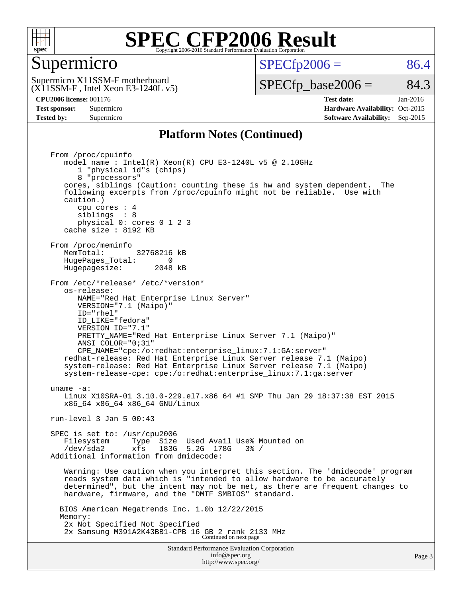

#### Supermicro

 $SPECTp2006 = 86.4$ 

(X11SSM-F , Intel Xeon E3-1240L v5) Supermicro X11SSM-F motherboard

 $SPECTp\_base2006 = 84.3$ 

**[CPU2006 license:](http://www.spec.org/auto/cpu2006/Docs/result-fields.html#CPU2006license)** 001176 **[Test date:](http://www.spec.org/auto/cpu2006/Docs/result-fields.html#Testdate)** Jan-2016 **[Test sponsor:](http://www.spec.org/auto/cpu2006/Docs/result-fields.html#Testsponsor)** Supermicro Supermicro **[Hardware Availability:](http://www.spec.org/auto/cpu2006/Docs/result-fields.html#HardwareAvailability)** Oct-2015 **[Tested by:](http://www.spec.org/auto/cpu2006/Docs/result-fields.html#Testedby)** Supermicro **Supermicro [Software Availability:](http://www.spec.org/auto/cpu2006/Docs/result-fields.html#SoftwareAvailability)** Sep-2015

#### **[Platform Notes \(Continued\)](http://www.spec.org/auto/cpu2006/Docs/result-fields.html#PlatformNotes)**

Standard Performance Evaluation Corporation From /proc/cpuinfo model name : Intel(R) Xeon(R) CPU E3-1240L v5 @ 2.10GHz 1 "physical id"s (chips) 8 "processors" cores, siblings (Caution: counting these is hw and system dependent. The following excerpts from /proc/cpuinfo might not be reliable. Use with caution.) cpu cores : 4 siblings : 8 physical 0: cores 0 1 2 3 cache size : 8192 KB From /proc/meminfo<br>MemTotal: 32768216 kB HugePages\_Total: 0<br>Hugepagesize: 2048 kB Hugepagesize: From /etc/\*release\* /etc/\*version\* os-release: NAME="Red Hat Enterprise Linux Server" VERSION="7.1 (Maipo)" ID="rhel" ID\_LIKE="fedora" VERSION\_ID="7.1" PRETTY\_NAME="Red Hat Enterprise Linux Server 7.1 (Maipo)" ANSI\_COLOR="0;31" CPE\_NAME="cpe:/o:redhat:enterprise\_linux:7.1:GA:server" redhat-release: Red Hat Enterprise Linux Server release 7.1 (Maipo) system-release: Red Hat Enterprise Linux Server release 7.1 (Maipo) system-release-cpe: cpe:/o:redhat:enterprise\_linux:7.1:ga:server uname -a: Linux X10SRA-01 3.10.0-229.el7.x86\_64 #1 SMP Thu Jan 29 18:37:38 EST 2015 x86\_64 x86\_64 x86\_64 GNU/Linux run-level 3 Jan 5 00:43 SPEC is set to: /usr/cpu2006 Filesystem Type Size Used Avail Use% Mounted on /dev/sda2 xfs 183G 5.2G 178G 3% / Additional information from dmidecode: Warning: Use caution when you interpret this section. The 'dmidecode' program reads system data which is "intended to allow hardware to be accurately determined", but the intent may not be met, as there are frequent changes to hardware, firmware, and the "DMTF SMBIOS" standard. BIOS American Megatrends Inc. 1.0b 12/22/2015 Memory: 2x Not Specified Not Specified 2x Samsung M391A2K43BB1-CPB 16 GB 2 rank 2133 MHz Continued on next page

[info@spec.org](mailto:info@spec.org) <http://www.spec.org/>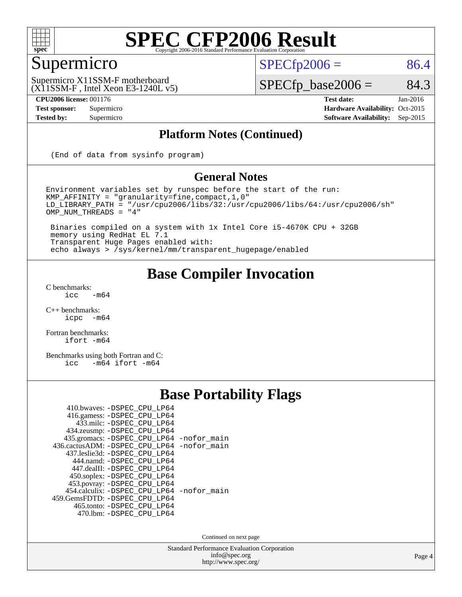

#### Supermicro

 $SPECTp2006 = 86.4$ 

(X11SSM-F , Intel Xeon E3-1240L v5) Supermicro X11SSM-F motherboard

**[CPU2006 license:](http://www.spec.org/auto/cpu2006/Docs/result-fields.html#CPU2006license)** 001176 **[Test date:](http://www.spec.org/auto/cpu2006/Docs/result-fields.html#Testdate)** Jan-2016

 $SPECfp\_base2006 = 84.3$ 

**[Test sponsor:](http://www.spec.org/auto/cpu2006/Docs/result-fields.html#Testsponsor)** Supermicro Supermicro **[Hardware Availability:](http://www.spec.org/auto/cpu2006/Docs/result-fields.html#HardwareAvailability)** Oct-2015 **[Tested by:](http://www.spec.org/auto/cpu2006/Docs/result-fields.html#Testedby)** Supermicro **[Software Availability:](http://www.spec.org/auto/cpu2006/Docs/result-fields.html#SoftwareAvailability)** Sep-2015

#### **[Platform Notes \(Continued\)](http://www.spec.org/auto/cpu2006/Docs/result-fields.html#PlatformNotes)**

(End of data from sysinfo program)

#### **[General Notes](http://www.spec.org/auto/cpu2006/Docs/result-fields.html#GeneralNotes)**

Environment variables set by runspec before the start of the run: KMP\_AFFINITY = "granularity=fine,compact,1,0" LD\_LIBRARY\_PATH = "/usr/cpu2006/libs/32:/usr/cpu2006/libs/64:/usr/cpu2006/sh" OMP\_NUM\_THREADS = "4"

 Binaries compiled on a system with 1x Intel Core i5-4670K CPU + 32GB memory using RedHat EL 7.1 Transparent Huge Pages enabled with: echo always > /sys/kernel/mm/transparent\_hugepage/enabled

#### **[Base Compiler Invocation](http://www.spec.org/auto/cpu2006/Docs/result-fields.html#BaseCompilerInvocation)**

 $C$  benchmarks:<br>icc  $-m64$ 

[C++ benchmarks:](http://www.spec.org/auto/cpu2006/Docs/result-fields.html#CXXbenchmarks) [icpc -m64](http://www.spec.org/cpu2006/results/res2016q1/cpu2006-20160106-38560.flags.html#user_CXXbase_intel_icpc_64bit_bedb90c1146cab66620883ef4f41a67e)

[Fortran benchmarks](http://www.spec.org/auto/cpu2006/Docs/result-fields.html#Fortranbenchmarks): [ifort -m64](http://www.spec.org/cpu2006/results/res2016q1/cpu2006-20160106-38560.flags.html#user_FCbase_intel_ifort_64bit_ee9d0fb25645d0210d97eb0527dcc06e)

[Benchmarks using both Fortran and C](http://www.spec.org/auto/cpu2006/Docs/result-fields.html#BenchmarksusingbothFortranandC): [icc -m64](http://www.spec.org/cpu2006/results/res2016q1/cpu2006-20160106-38560.flags.html#user_CC_FCbase_intel_icc_64bit_0b7121f5ab7cfabee23d88897260401c) [ifort -m64](http://www.spec.org/cpu2006/results/res2016q1/cpu2006-20160106-38560.flags.html#user_CC_FCbase_intel_ifort_64bit_ee9d0fb25645d0210d97eb0527dcc06e)

#### **[Base Portability Flags](http://www.spec.org/auto/cpu2006/Docs/result-fields.html#BasePortabilityFlags)**

| 410.bwaves: -DSPEC CPU LP64                |  |
|--------------------------------------------|--|
| 416.gamess: -DSPEC_CPU_LP64                |  |
| 433.milc: -DSPEC CPU LP64                  |  |
| 434.zeusmp: - DSPEC_CPU_LP64               |  |
| 435.gromacs: -DSPEC_CPU_LP64 -nofor_main   |  |
| 436.cactusADM: -DSPEC CPU LP64 -nofor main |  |
| 437.leslie3d: -DSPEC CPU LP64              |  |
| 444.namd: - DSPEC_CPU_LP64                 |  |
| 447.dealII: -DSPEC CPU LP64                |  |
| 450.soplex: -DSPEC_CPU_LP64                |  |
| 453.povray: -DSPEC_CPU_LP64                |  |
| 454.calculix: -DSPEC_CPU_LP64 -nofor_main  |  |
| 459. GemsFDTD: - DSPEC CPU LP64            |  |
| 465.tonto: - DSPEC_CPU_LP64                |  |
| 470.1bm: - DSPEC CPU LP64                  |  |

Continued on next page

Standard Performance Evaluation Corporation [info@spec.org](mailto:info@spec.org) <http://www.spec.org/>

Page 4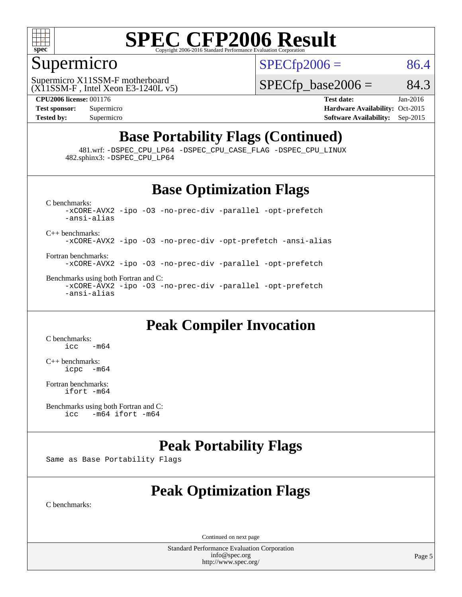

#### Supermicro

 $SPECTp2006 = 86.4$ 

(X11SSM-F , Intel Xeon E3-1240L v5) Supermicro X11SSM-F motherboard

 $SPECTp\_base2006 = 84.3$ 

**[CPU2006 license:](http://www.spec.org/auto/cpu2006/Docs/result-fields.html#CPU2006license)** 001176 **[Test date:](http://www.spec.org/auto/cpu2006/Docs/result-fields.html#Testdate)** Jan-2016 **[Test sponsor:](http://www.spec.org/auto/cpu2006/Docs/result-fields.html#Testsponsor)** Supermicro Supermicro **[Hardware Availability:](http://www.spec.org/auto/cpu2006/Docs/result-fields.html#HardwareAvailability)** Oct-2015 **[Tested by:](http://www.spec.org/auto/cpu2006/Docs/result-fields.html#Testedby)** Supermicro **Supermicro [Software Availability:](http://www.spec.org/auto/cpu2006/Docs/result-fields.html#SoftwareAvailability)** Sep-2015

#### **[Base Portability Flags \(Continued\)](http://www.spec.org/auto/cpu2006/Docs/result-fields.html#BasePortabilityFlags)**

 481.wrf: [-DSPEC\\_CPU\\_LP64](http://www.spec.org/cpu2006/results/res2016q1/cpu2006-20160106-38560.flags.html#suite_basePORTABILITY481_wrf_DSPEC_CPU_LP64) [-DSPEC\\_CPU\\_CASE\\_FLAG](http://www.spec.org/cpu2006/results/res2016q1/cpu2006-20160106-38560.flags.html#b481.wrf_baseCPORTABILITY_DSPEC_CPU_CASE_FLAG) [-DSPEC\\_CPU\\_LINUX](http://www.spec.org/cpu2006/results/res2016q1/cpu2006-20160106-38560.flags.html#b481.wrf_baseCPORTABILITY_DSPEC_CPU_LINUX) 482.sphinx3: [-DSPEC\\_CPU\\_LP64](http://www.spec.org/cpu2006/results/res2016q1/cpu2006-20160106-38560.flags.html#suite_basePORTABILITY482_sphinx3_DSPEC_CPU_LP64)

#### **[Base Optimization Flags](http://www.spec.org/auto/cpu2006/Docs/result-fields.html#BaseOptimizationFlags)**

[C benchmarks](http://www.spec.org/auto/cpu2006/Docs/result-fields.html#Cbenchmarks): [-xCORE-AVX2](http://www.spec.org/cpu2006/results/res2016q1/cpu2006-20160106-38560.flags.html#user_CCbase_f-xAVX2_5f5fc0cbe2c9f62c816d3e45806c70d7) [-ipo](http://www.spec.org/cpu2006/results/res2016q1/cpu2006-20160106-38560.flags.html#user_CCbase_f-ipo) [-O3](http://www.spec.org/cpu2006/results/res2016q1/cpu2006-20160106-38560.flags.html#user_CCbase_f-O3) [-no-prec-div](http://www.spec.org/cpu2006/results/res2016q1/cpu2006-20160106-38560.flags.html#user_CCbase_f-no-prec-div) [-parallel](http://www.spec.org/cpu2006/results/res2016q1/cpu2006-20160106-38560.flags.html#user_CCbase_f-parallel) [-opt-prefetch](http://www.spec.org/cpu2006/results/res2016q1/cpu2006-20160106-38560.flags.html#user_CCbase_f-opt-prefetch) [-ansi-alias](http://www.spec.org/cpu2006/results/res2016q1/cpu2006-20160106-38560.flags.html#user_CCbase_f-ansi-alias) [C++ benchmarks:](http://www.spec.org/auto/cpu2006/Docs/result-fields.html#CXXbenchmarks) [-xCORE-AVX2](http://www.spec.org/cpu2006/results/res2016q1/cpu2006-20160106-38560.flags.html#user_CXXbase_f-xAVX2_5f5fc0cbe2c9f62c816d3e45806c70d7) [-ipo](http://www.spec.org/cpu2006/results/res2016q1/cpu2006-20160106-38560.flags.html#user_CXXbase_f-ipo) [-O3](http://www.spec.org/cpu2006/results/res2016q1/cpu2006-20160106-38560.flags.html#user_CXXbase_f-O3) [-no-prec-div](http://www.spec.org/cpu2006/results/res2016q1/cpu2006-20160106-38560.flags.html#user_CXXbase_f-no-prec-div) [-opt-prefetch](http://www.spec.org/cpu2006/results/res2016q1/cpu2006-20160106-38560.flags.html#user_CXXbase_f-opt-prefetch) [-ansi-alias](http://www.spec.org/cpu2006/results/res2016q1/cpu2006-20160106-38560.flags.html#user_CXXbase_f-ansi-alias)

[Fortran benchmarks](http://www.spec.org/auto/cpu2006/Docs/result-fields.html#Fortranbenchmarks): [-xCORE-AVX2](http://www.spec.org/cpu2006/results/res2016q1/cpu2006-20160106-38560.flags.html#user_FCbase_f-xAVX2_5f5fc0cbe2c9f62c816d3e45806c70d7) [-ipo](http://www.spec.org/cpu2006/results/res2016q1/cpu2006-20160106-38560.flags.html#user_FCbase_f-ipo) [-O3](http://www.spec.org/cpu2006/results/res2016q1/cpu2006-20160106-38560.flags.html#user_FCbase_f-O3) [-no-prec-div](http://www.spec.org/cpu2006/results/res2016q1/cpu2006-20160106-38560.flags.html#user_FCbase_f-no-prec-div) [-parallel](http://www.spec.org/cpu2006/results/res2016q1/cpu2006-20160106-38560.flags.html#user_FCbase_f-parallel) [-opt-prefetch](http://www.spec.org/cpu2006/results/res2016q1/cpu2006-20160106-38560.flags.html#user_FCbase_f-opt-prefetch)

[Benchmarks using both Fortran and C](http://www.spec.org/auto/cpu2006/Docs/result-fields.html#BenchmarksusingbothFortranandC): [-xCORE-AVX2](http://www.spec.org/cpu2006/results/res2016q1/cpu2006-20160106-38560.flags.html#user_CC_FCbase_f-xAVX2_5f5fc0cbe2c9f62c816d3e45806c70d7) [-ipo](http://www.spec.org/cpu2006/results/res2016q1/cpu2006-20160106-38560.flags.html#user_CC_FCbase_f-ipo) [-O3](http://www.spec.org/cpu2006/results/res2016q1/cpu2006-20160106-38560.flags.html#user_CC_FCbase_f-O3) [-no-prec-div](http://www.spec.org/cpu2006/results/res2016q1/cpu2006-20160106-38560.flags.html#user_CC_FCbase_f-no-prec-div) [-parallel](http://www.spec.org/cpu2006/results/res2016q1/cpu2006-20160106-38560.flags.html#user_CC_FCbase_f-parallel) [-opt-prefetch](http://www.spec.org/cpu2006/results/res2016q1/cpu2006-20160106-38560.flags.html#user_CC_FCbase_f-opt-prefetch) [-ansi-alias](http://www.spec.org/cpu2006/results/res2016q1/cpu2006-20160106-38560.flags.html#user_CC_FCbase_f-ansi-alias)

#### **[Peak Compiler Invocation](http://www.spec.org/auto/cpu2006/Docs/result-fields.html#PeakCompilerInvocation)**

[C benchmarks](http://www.spec.org/auto/cpu2006/Docs/result-fields.html#Cbenchmarks):  $\text{icc}$   $-\text{m64}$ 

[C++ benchmarks:](http://www.spec.org/auto/cpu2006/Docs/result-fields.html#CXXbenchmarks) [icpc -m64](http://www.spec.org/cpu2006/results/res2016q1/cpu2006-20160106-38560.flags.html#user_CXXpeak_intel_icpc_64bit_bedb90c1146cab66620883ef4f41a67e)

[Fortran benchmarks](http://www.spec.org/auto/cpu2006/Docs/result-fields.html#Fortranbenchmarks): [ifort -m64](http://www.spec.org/cpu2006/results/res2016q1/cpu2006-20160106-38560.flags.html#user_FCpeak_intel_ifort_64bit_ee9d0fb25645d0210d97eb0527dcc06e)

[Benchmarks using both Fortran and C](http://www.spec.org/auto/cpu2006/Docs/result-fields.html#BenchmarksusingbothFortranandC):<br>icc -m64 if ort -m64  $-m64$  ifort  $-m64$ 

#### **[Peak Portability Flags](http://www.spec.org/auto/cpu2006/Docs/result-fields.html#PeakPortabilityFlags)**

Same as Base Portability Flags

#### **[Peak Optimization Flags](http://www.spec.org/auto/cpu2006/Docs/result-fields.html#PeakOptimizationFlags)**

[C benchmarks](http://www.spec.org/auto/cpu2006/Docs/result-fields.html#Cbenchmarks):

Continued on next page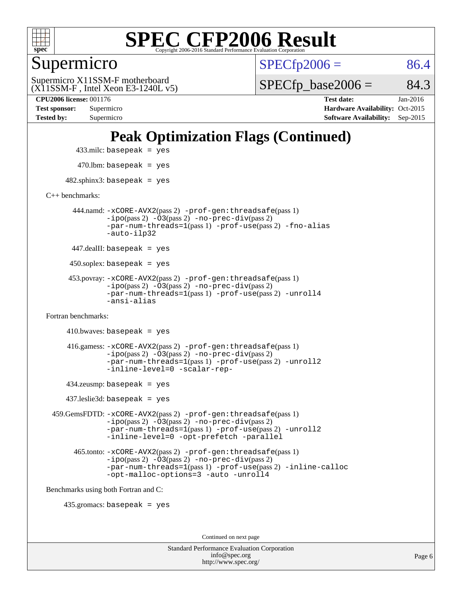

Supermicro

 $SPECTp2006 = 86.4$ 

(X11SSM-F , Intel Xeon E3-1240L v5) Supermicro X11SSM-F motherboard

 $SPECTp\_base2006 = 84.3$ 

**[CPU2006 license:](http://www.spec.org/auto/cpu2006/Docs/result-fields.html#CPU2006license)** 001176 **[Test date:](http://www.spec.org/auto/cpu2006/Docs/result-fields.html#Testdate)** Jan-2016 **[Test sponsor:](http://www.spec.org/auto/cpu2006/Docs/result-fields.html#Testsponsor)** Supermicro Supermicro **[Hardware Availability:](http://www.spec.org/auto/cpu2006/Docs/result-fields.html#HardwareAvailability)** Oct-2015 **[Tested by:](http://www.spec.org/auto/cpu2006/Docs/result-fields.html#Testedby)** Supermicro **Supermicro [Software Availability:](http://www.spec.org/auto/cpu2006/Docs/result-fields.html#SoftwareAvailability)** Sep-2015

#### **[Peak Optimization Flags \(Continued\)](http://www.spec.org/auto/cpu2006/Docs/result-fields.html#PeakOptimizationFlags)**

 433.milc: basepeak = yes  $470.$ lbm: basepeak = yes

 $482$ .sphinx3: basepeak = yes

[C++ benchmarks:](http://www.spec.org/auto/cpu2006/Docs/result-fields.html#CXXbenchmarks)

 444.namd: [-xCORE-AVX2](http://www.spec.org/cpu2006/results/res2016q1/cpu2006-20160106-38560.flags.html#user_peakPASS2_CXXFLAGSPASS2_LDFLAGS444_namd_f-xAVX2_5f5fc0cbe2c9f62c816d3e45806c70d7)(pass 2) [-prof-gen:threadsafe](http://www.spec.org/cpu2006/results/res2016q1/cpu2006-20160106-38560.flags.html#user_peakPASS1_CXXFLAGSPASS1_LDFLAGS444_namd_prof_gen_21a26eb79f378b550acd7bec9fe4467a)(pass 1) [-ipo](http://www.spec.org/cpu2006/results/res2016q1/cpu2006-20160106-38560.flags.html#user_peakPASS2_CXXFLAGSPASS2_LDFLAGS444_namd_f-ipo)(pass 2) [-O3](http://www.spec.org/cpu2006/results/res2016q1/cpu2006-20160106-38560.flags.html#user_peakPASS2_CXXFLAGSPASS2_LDFLAGS444_namd_f-O3)(pass 2) [-no-prec-div](http://www.spec.org/cpu2006/results/res2016q1/cpu2006-20160106-38560.flags.html#user_peakPASS2_CXXFLAGSPASS2_LDFLAGS444_namd_f-no-prec-div)(pass 2) [-par-num-threads=1](http://www.spec.org/cpu2006/results/res2016q1/cpu2006-20160106-38560.flags.html#user_peakPASS1_CXXFLAGSPASS1_LDFLAGS444_namd_par_num_threads_786a6ff141b4e9e90432e998842df6c2)(pass 1) [-prof-use](http://www.spec.org/cpu2006/results/res2016q1/cpu2006-20160106-38560.flags.html#user_peakPASS2_CXXFLAGSPASS2_LDFLAGS444_namd_prof_use_bccf7792157ff70d64e32fe3e1250b55)(pass 2) [-fno-alias](http://www.spec.org/cpu2006/results/res2016q1/cpu2006-20160106-38560.flags.html#user_peakCXXOPTIMIZEOPTIMIZE444_namd_f-no-alias_694e77f6c5a51e658e82ccff53a9e63a) [-auto-ilp32](http://www.spec.org/cpu2006/results/res2016q1/cpu2006-20160106-38560.flags.html#user_peakCXXOPTIMIZE444_namd_f-auto-ilp32)

447.dealII: basepeak = yes

 $450$ .soplex: basepeak = yes

 453.povray: [-xCORE-AVX2](http://www.spec.org/cpu2006/results/res2016q1/cpu2006-20160106-38560.flags.html#user_peakPASS2_CXXFLAGSPASS2_LDFLAGS453_povray_f-xAVX2_5f5fc0cbe2c9f62c816d3e45806c70d7)(pass 2) [-prof-gen:threadsafe](http://www.spec.org/cpu2006/results/res2016q1/cpu2006-20160106-38560.flags.html#user_peakPASS1_CXXFLAGSPASS1_LDFLAGS453_povray_prof_gen_21a26eb79f378b550acd7bec9fe4467a)(pass 1)  $-ipo(pass 2) -\overline{O3(pass 2)}$  $-ipo(pass 2) -\overline{O3(pass 2)}$  [-no-prec-div](http://www.spec.org/cpu2006/results/res2016q1/cpu2006-20160106-38560.flags.html#user_peakPASS2_CXXFLAGSPASS2_LDFLAGS453_povray_f-no-prec-div)(pass 2) [-par-num-threads=1](http://www.spec.org/cpu2006/results/res2016q1/cpu2006-20160106-38560.flags.html#user_peakPASS1_CXXFLAGSPASS1_LDFLAGS453_povray_par_num_threads_786a6ff141b4e9e90432e998842df6c2)(pass 1) [-prof-use](http://www.spec.org/cpu2006/results/res2016q1/cpu2006-20160106-38560.flags.html#user_peakPASS2_CXXFLAGSPASS2_LDFLAGS453_povray_prof_use_bccf7792157ff70d64e32fe3e1250b55)(pass 2) [-unroll4](http://www.spec.org/cpu2006/results/res2016q1/cpu2006-20160106-38560.flags.html#user_peakCXXOPTIMIZE453_povray_f-unroll_4e5e4ed65b7fd20bdcd365bec371b81f) [-ansi-alias](http://www.spec.org/cpu2006/results/res2016q1/cpu2006-20160106-38560.flags.html#user_peakCXXOPTIMIZE453_povray_f-ansi-alias)

[Fortran benchmarks](http://www.spec.org/auto/cpu2006/Docs/result-fields.html#Fortranbenchmarks):

 $410.bwaves: basepeak = yes$  416.gamess: [-xCORE-AVX2](http://www.spec.org/cpu2006/results/res2016q1/cpu2006-20160106-38560.flags.html#user_peakPASS2_FFLAGSPASS2_LDFLAGS416_gamess_f-xAVX2_5f5fc0cbe2c9f62c816d3e45806c70d7)(pass 2) [-prof-gen:threadsafe](http://www.spec.org/cpu2006/results/res2016q1/cpu2006-20160106-38560.flags.html#user_peakPASS1_FFLAGSPASS1_LDFLAGS416_gamess_prof_gen_21a26eb79f378b550acd7bec9fe4467a)(pass 1)  $-i\text{po}(pass 2) -\tilde{O}3(pass 2)$  [-no-prec-div](http://www.spec.org/cpu2006/results/res2016q1/cpu2006-20160106-38560.flags.html#user_peakPASS2_FFLAGSPASS2_LDFLAGS416_gamess_f-no-prec-div)(pass 2) [-par-num-threads=1](http://www.spec.org/cpu2006/results/res2016q1/cpu2006-20160106-38560.flags.html#user_peakPASS1_FFLAGSPASS1_LDFLAGS416_gamess_par_num_threads_786a6ff141b4e9e90432e998842df6c2)(pass 1) [-prof-use](http://www.spec.org/cpu2006/results/res2016q1/cpu2006-20160106-38560.flags.html#user_peakPASS2_FFLAGSPASS2_LDFLAGS416_gamess_prof_use_bccf7792157ff70d64e32fe3e1250b55)(pass 2) [-unroll2](http://www.spec.org/cpu2006/results/res2016q1/cpu2006-20160106-38560.flags.html#user_peakOPTIMIZE416_gamess_f-unroll_784dae83bebfb236979b41d2422d7ec2) [-inline-level=0](http://www.spec.org/cpu2006/results/res2016q1/cpu2006-20160106-38560.flags.html#user_peakOPTIMIZE416_gamess_f-inline-level_318d07a09274ad25e8d15dbfaa68ba50) [-scalar-rep-](http://www.spec.org/cpu2006/results/res2016q1/cpu2006-20160106-38560.flags.html#user_peakOPTIMIZE416_gamess_f-disablescalarrep_abbcad04450fb118e4809c81d83c8a1d)

434.zeusmp: basepeak = yes

437.leslie3d: basepeak = yes

 459.GemsFDTD: [-xCORE-AVX2](http://www.spec.org/cpu2006/results/res2016q1/cpu2006-20160106-38560.flags.html#user_peakPASS2_FFLAGSPASS2_LDFLAGS459_GemsFDTD_f-xAVX2_5f5fc0cbe2c9f62c816d3e45806c70d7)(pass 2) [-prof-gen:threadsafe](http://www.spec.org/cpu2006/results/res2016q1/cpu2006-20160106-38560.flags.html#user_peakPASS1_FFLAGSPASS1_LDFLAGS459_GemsFDTD_prof_gen_21a26eb79f378b550acd7bec9fe4467a)(pass 1) [-ipo](http://www.spec.org/cpu2006/results/res2016q1/cpu2006-20160106-38560.flags.html#user_peakPASS2_FFLAGSPASS2_LDFLAGS459_GemsFDTD_f-ipo)(pass 2) [-O3](http://www.spec.org/cpu2006/results/res2016q1/cpu2006-20160106-38560.flags.html#user_peakPASS2_FFLAGSPASS2_LDFLAGS459_GemsFDTD_f-O3)(pass 2) [-no-prec-div](http://www.spec.org/cpu2006/results/res2016q1/cpu2006-20160106-38560.flags.html#user_peakPASS2_FFLAGSPASS2_LDFLAGS459_GemsFDTD_f-no-prec-div)(pass 2) [-par-num-threads=1](http://www.spec.org/cpu2006/results/res2016q1/cpu2006-20160106-38560.flags.html#user_peakPASS1_FFLAGSPASS1_LDFLAGS459_GemsFDTD_par_num_threads_786a6ff141b4e9e90432e998842df6c2)(pass 1) [-prof-use](http://www.spec.org/cpu2006/results/res2016q1/cpu2006-20160106-38560.flags.html#user_peakPASS2_FFLAGSPASS2_LDFLAGS459_GemsFDTD_prof_use_bccf7792157ff70d64e32fe3e1250b55)(pass 2) [-unroll2](http://www.spec.org/cpu2006/results/res2016q1/cpu2006-20160106-38560.flags.html#user_peakOPTIMIZE459_GemsFDTD_f-unroll_784dae83bebfb236979b41d2422d7ec2) [-inline-level=0](http://www.spec.org/cpu2006/results/res2016q1/cpu2006-20160106-38560.flags.html#user_peakOPTIMIZE459_GemsFDTD_f-inline-level_318d07a09274ad25e8d15dbfaa68ba50) [-opt-prefetch](http://www.spec.org/cpu2006/results/res2016q1/cpu2006-20160106-38560.flags.html#user_peakOPTIMIZE459_GemsFDTD_f-opt-prefetch) [-parallel](http://www.spec.org/cpu2006/results/res2016q1/cpu2006-20160106-38560.flags.html#user_peakOPTIMIZE459_GemsFDTD_f-parallel)

 465.tonto: [-xCORE-AVX2](http://www.spec.org/cpu2006/results/res2016q1/cpu2006-20160106-38560.flags.html#user_peakPASS2_FFLAGSPASS2_LDFLAGS465_tonto_f-xAVX2_5f5fc0cbe2c9f62c816d3e45806c70d7)(pass 2) [-prof-gen:threadsafe](http://www.spec.org/cpu2006/results/res2016q1/cpu2006-20160106-38560.flags.html#user_peakPASS1_FFLAGSPASS1_LDFLAGS465_tonto_prof_gen_21a26eb79f378b550acd7bec9fe4467a)(pass 1)  $-i\text{po}(pass 2) -\overline{0}3(pass 2)$  [-no-prec-div](http://www.spec.org/cpu2006/results/res2016q1/cpu2006-20160106-38560.flags.html#user_peakPASS2_FFLAGSPASS2_LDFLAGS465_tonto_f-no-prec-div)(pass 2) [-par-num-threads=1](http://www.spec.org/cpu2006/results/res2016q1/cpu2006-20160106-38560.flags.html#user_peakPASS1_FFLAGSPASS1_LDFLAGS465_tonto_par_num_threads_786a6ff141b4e9e90432e998842df6c2)(pass 1) [-prof-use](http://www.spec.org/cpu2006/results/res2016q1/cpu2006-20160106-38560.flags.html#user_peakPASS2_FFLAGSPASS2_LDFLAGS465_tonto_prof_use_bccf7792157ff70d64e32fe3e1250b55)(pass 2) [-inline-calloc](http://www.spec.org/cpu2006/results/res2016q1/cpu2006-20160106-38560.flags.html#user_peakOPTIMIZE465_tonto_f-inline-calloc) [-opt-malloc-options=3](http://www.spec.org/cpu2006/results/res2016q1/cpu2006-20160106-38560.flags.html#user_peakOPTIMIZE465_tonto_f-opt-malloc-options_13ab9b803cf986b4ee62f0a5998c2238) [-auto](http://www.spec.org/cpu2006/results/res2016q1/cpu2006-20160106-38560.flags.html#user_peakOPTIMIZE465_tonto_f-auto) [-unroll4](http://www.spec.org/cpu2006/results/res2016q1/cpu2006-20160106-38560.flags.html#user_peakOPTIMIZE465_tonto_f-unroll_4e5e4ed65b7fd20bdcd365bec371b81f)

[Benchmarks using both Fortran and C](http://www.spec.org/auto/cpu2006/Docs/result-fields.html#BenchmarksusingbothFortranandC):

435.gromacs: basepeak = yes

Continued on next page